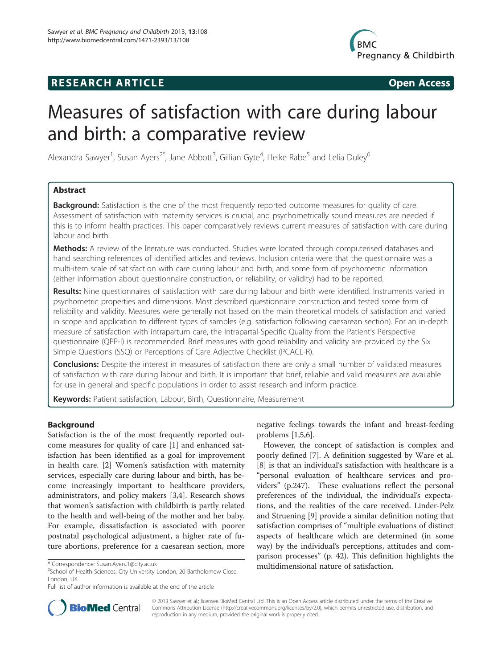## **RESEARCH ARTICLE Example 2014 12:30 The SEAR CHA RTICLE**



# Measures of satisfaction with care during labour and birth: a comparative review

Alexandra Sawyer<sup>1</sup>, Susan Ayers<sup>2\*</sup>, Jane Abbott<sup>3</sup>, Gillian Gyte<sup>4</sup>, Heike Rabe<sup>5</sup> and Lelia Duley<sup>6</sup>

## Abstract

**Background:** Satisfaction is the one of the most frequently reported outcome measures for quality of care. Assessment of satisfaction with maternity services is crucial, and psychometrically sound measures are needed if this is to inform health practices. This paper comparatively reviews current measures of satisfaction with care during labour and birth.

**Methods:** A review of the literature was conducted. Studies were located through computerised databases and hand searching references of identified articles and reviews. Inclusion criteria were that the questionnaire was a multi-item scale of satisfaction with care during labour and birth, and some form of psychometric information (either information about questionnaire construction, or reliability, or validity) had to be reported.

Results: Nine questionnaires of satisfaction with care during labour and birth were identified. Instruments varied in psychometric properties and dimensions. Most described questionnaire construction and tested some form of reliability and validity. Measures were generally not based on the main theoretical models of satisfaction and varied in scope and application to different types of samples (e.g. satisfaction following caesarean section). For an in-depth measure of satisfaction with intrapartum care, the Intrapartal-Specific Quality from the Patient's Perspective questionnaire (QPP-I) is recommended. Brief measures with good reliability and validity are provided by the Six Simple Questions (SSQ) or Perceptions of Care Adjective Checklist (PCACL-R).

Conclusions: Despite the interest in measures of satisfaction there are only a small number of validated measures of satisfaction with care during labour and birth. It is important that brief, reliable and valid measures are available for use in general and specific populations in order to assist research and inform practice.

Keywords: Patient satisfaction, Labour, Birth, Questionnaire, Measurement

## Background

Satisfaction is the of the most frequently reported outcome measures for quality of care [[1\]](#page-8-0) and enhanced satisfaction has been identified as a goal for improvement in health care. [[2\]](#page-8-0) Women's satisfaction with maternity services, especially care during labour and birth, has become increasingly important to healthcare providers, administrators, and policy makers [[3,4\]](#page-8-0). Research shows that women's satisfaction with childbirth is partly related to the health and well-being of the mother and her baby. For example, dissatisfaction is associated with poorer postnatal psychological adjustment, a higher rate of future abortions, preference for a caesarean section, more

negative feelings towards the infant and breast-feeding problems [[1,5,6\]](#page-8-0).

However, the concept of satisfaction is complex and poorly defined [[7\]](#page-8-0). A definition suggested by Ware et al. [[8\]](#page-8-0) is that an individual's satisfaction with healthcare is a "personal evaluation of healthcare services and providers" (p.247). These evaluations reflect the personal preferences of the individual, the individual's expectations, and the realities of the care received. Linder-Pelz and Struening [\[9](#page-8-0)] provide a similar definition noting that satisfaction comprises of "multiple evaluations of distinct aspects of healthcare which are determined (in some way) by the individual's perceptions, attitudes and comparison processes" (p. 42). This definition highlights the multidimensional nature of satisfaction. \* Correspondence: [Susan.Ayers.1@city.ac.uk](mailto:Susan.Ayers.1@city.ac.uk) <sup>2</sup>



© 2013 Sawyer et al.; licensee BioMed Central Ltd. This is an Open Access article distributed under the terms of the Creative Commons Attribution License [\(http://creativecommons.org/licenses/by/2.0\)](http://creativecommons.org/licenses/by/2.0), which permits unrestricted use, distribution, and reproduction in any medium, provided the original work is properly cited.

 $2$ School of Health Sciences, City University London, 20 Bartholomew Close, London, UK

Full list of author information is available at the end of the article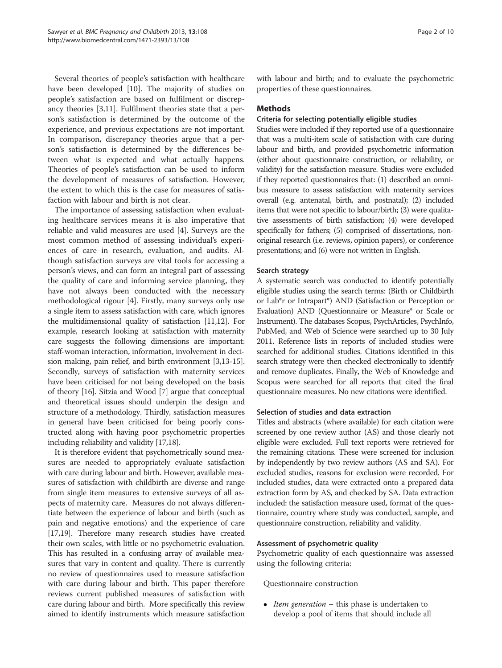Several theories of people's satisfaction with healthcare have been developed [[10\]](#page-8-0). The majority of studies on people's satisfaction are based on fulfilment or discrepancy theories [[3,11](#page-8-0)]. Fulfilment theories state that a person's satisfaction is determined by the outcome of the experience, and previous expectations are not important. In comparison, discrepancy theories argue that a person's satisfaction is determined by the differences between what is expected and what actually happens. Theories of people's satisfaction can be used to inform the development of measures of satisfaction. However, the extent to which this is the case for measures of satisfaction with labour and birth is not clear.

The importance of assessing satisfaction when evaluating healthcare services means it is also imperative that reliable and valid measures are used [\[4](#page-8-0)]. Surveys are the most common method of assessing individual's experiences of care in research, evaluation, and audits. Although satisfaction surveys are vital tools for accessing a person's views, and can form an integral part of assessing the quality of care and informing service planning, they have not always been conducted with the necessary methodological rigour [[4\]](#page-8-0). Firstly, many surveys only use a single item to assess satisfaction with care, which ignores the multidimensional quality of satisfaction [[11,12\]](#page-8-0). For example, research looking at satisfaction with maternity care suggests the following dimensions are important: staff-woman interaction, information, involvement in decision making, pain relief, and birth environment [[3,13](#page-8-0)-[15](#page-8-0)]. Secondly, surveys of satisfaction with maternity services have been criticised for not being developed on the basis of theory [[16](#page-8-0)]. Sitzia and Wood [[7](#page-8-0)] argue that conceptual and theoretical issues should underpin the design and structure of a methodology. Thirdly, satisfaction measures in general have been criticised for being poorly constructed along with having poor psychometric properties including reliability and validity [[17,18\]](#page-8-0).

It is therefore evident that psychometrically sound measures are needed to appropriately evaluate satisfaction with care during labour and birth. However, available measures of satisfaction with childbirth are diverse and range from single item measures to extensive surveys of all aspects of maternity care. Measures do not always differentiate between the experience of labour and birth (such as pain and negative emotions) and the experience of care [[17,19](#page-8-0)]. Therefore many research studies have created their own scales, with little or no psychometric evaluation. This has resulted in a confusing array of available measures that vary in content and quality. There is currently no review of questionnaires used to measure satisfaction with care during labour and birth. This paper therefore reviews current published measures of satisfaction with care during labour and birth. More specifically this review aimed to identify instruments which measure satisfaction with labour and birth; and to evaluate the psychometric properties of these questionnaires.

#### **Methods**

#### Criteria for selecting potentially eligible studies

Studies were included if they reported use of a questionnaire that was a multi-item scale of satisfaction with care during labour and birth, and provided psychometric information (either about questionnaire construction, or reliability, or validity) for the satisfaction measure. Studies were excluded if they reported questionnaires that: (1) described an omnibus measure to assess satisfaction with maternity services overall (e.g. antenatal, birth, and postnatal); (2) included items that were not specific to labour/birth; (3) were qualitative assessments of birth satisfaction; (4) were developed specifically for fathers; (5) comprised of dissertations, nonoriginal research (i.e. reviews, opinion papers), or conference presentations; and (6) were not written in English.

#### Search strategy

A systematic search was conducted to identify potentially eligible studies using the search terms: (Birth or Childbirth or Lab\*r or Intrapart\*) AND (Satisfaction or Perception or Evaluation) AND (Questionnaire or Measure\* or Scale or Instrument). The databases Scopus, PsychArticles, PsychInfo, PubMed, and Web of Science were searched up to 30 July 2011. Reference lists in reports of included studies were searched for additional studies. Citations identified in this search strategy were then checked electronically to identify and remove duplicates. Finally, the Web of Knowledge and Scopus were searched for all reports that cited the final questionnaire measures. No new citations were identified.

#### Selection of studies and data extraction

Titles and abstracts (where available) for each citation were screened by one review author (AS) and those clearly not eligible were excluded. Full text reports were retrieved for the remaining citations. These were screened for inclusion by independently by two review authors (AS and SA). For excluded studies, reasons for exclusion were recorded. For included studies, data were extracted onto a prepared data extraction form by AS, and checked by SA. Data extraction included: the satisfaction measure used, format of the questionnaire, country where study was conducted, sample, and questionnaire construction, reliability and validity.

#### Assessment of psychometric quality

Psychometric quality of each questionnaire was assessed using the following criteria:

Questionnaire construction

• *Item generation*  $-$  this phase is undertaken to develop a pool of items that should include all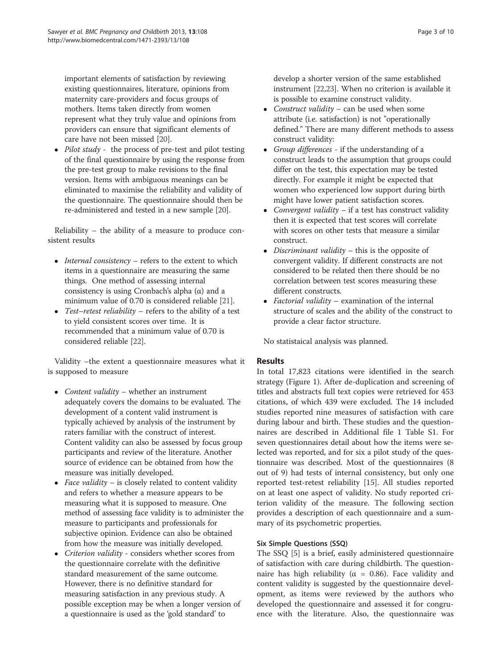important elements of satisfaction by reviewing existing questionnaires, literature, opinions from maternity care-providers and focus groups of mothers. Items taken directly from women represent what they truly value and opinions from providers can ensure that significant elements of care have not been missed [\[20\]](#page-8-0).

• *Pilot study* - the process of pre-test and pilot testing of the final questionnaire by using the response from the pre-test group to make revisions to the final version. Items with ambiguous meanings can be eliminated to maximise the reliability and validity of the questionnaire. The questionnaire should then be re-administered and tested in a new sample [[20](#page-8-0)].

Reliability – the ability of a measure to produce consistent results

- $\bullet$  *Internal consistency* refers to the extent to which items in a questionnaire are measuring the same things. One method of assessing internal consistency is using Cronbach's alpha  $(\alpha)$  and a minimum value of 0.70 is considered reliable [[21](#page-8-0)].
- Test–retest reliability refers to the ability of a test to yield consistent scores over time. It is recommended that a minimum value of 0.70 is considered reliable [\[22\]](#page-8-0).

Validity –the extent a questionnaire measures what it is supposed to measure

- *Content validity* whether an instrument adequately covers the domains to be evaluated. The development of a content valid instrument is typically achieved by analysis of the instrument by raters familiar with the construct of interest. Content validity can also be assessed by focus group participants and review of the literature. Another source of evidence can be obtained from how the measure was initially developed.
- Face validity  $-$  is closely related to content validity and refers to whether a measure appears to be measuring what it is supposed to measure. One method of assessing face validity is to administer the measure to participants and professionals for subjective opinion. Evidence can also be obtained from how the measure was initially developed.
- Criterion validity considers whether scores from the questionnaire correlate with the definitive standard measurement of the same outcome. However, there is no definitive standard for measuring satisfaction in any previous study. A possible exception may be when a longer version of a questionnaire is used as the 'gold standard' to

develop a shorter version of the same established instrument [\[22,23\]](#page-8-0). When no criterion is available it is possible to examine construct validity.

- *Construct validity* can be used when some attribute (i.e. satisfaction) is not "operationally defined." There are many different methods to assess construct validity:
- Group differences if the understanding of a construct leads to the assumption that groups could differ on the test, this expectation may be tested directly. For example it might be expected that women who experienced low support during birth might have lower patient satisfaction scores.
- Convergent validity  $-$  if a test has construct validity then it is expected that test scores will correlate with scores on other tests that measure a similar construct.
- $\bullet$  *Discriminant validity* this is the opposite of convergent validity. If different constructs are not considered to be related then there should be no correlation between test scores measuring these different constructs.
- Factorial validity examination of the internal structure of scales and the ability of the construct to provide a clear factor structure.

No statistaical analysis was planned.

## Results

In total 17,823 citations were identified in the search strategy (Figure [1](#page-3-0)). After de-duplication and screening of titles and abstracts full text copies were retrieved for 453 citations, of which 439 were excluded. The 14 included studies reported nine measures of satisfaction with care during labour and birth. These studies and the questionnaires are described in Additional file [1](#page-7-0) Table S1. For seven questionnaires detail about how the items were selected was reported, and for six a pilot study of the questionnaire was described. Most of the questionnaires (8 out of 9) had tests of internal consistency, but only one reported test-retest reliability [[15\]](#page-8-0). All studies reported on at least one aspect of validity. No study reported criterion validity of the measure. The following section provides a description of each questionnaire and a summary of its psychometric properties.

## Six Simple Questions (SSQ)

The SSQ [\[5](#page-8-0)] is a brief, easily administered questionnaire of satisfaction with care during childbirth. The questionnaire has high reliability ( $\alpha$  = 0.86). Face validity and content validity is suggested by the questionnaire development, as items were reviewed by the authors who developed the questionnaire and assessed it for congruence with the literature. Also, the questionnaire was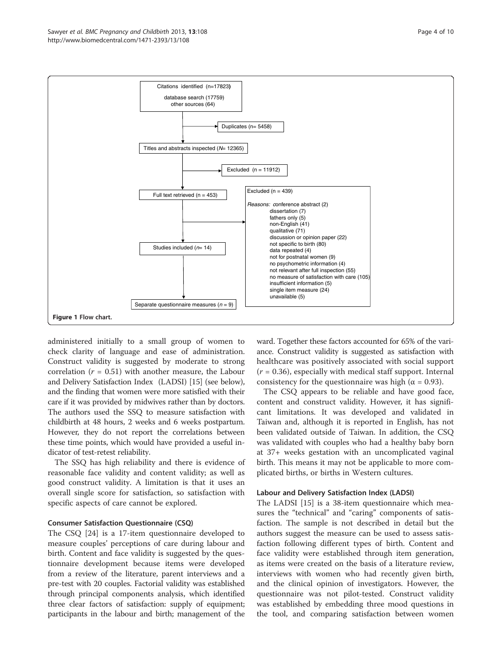<span id="page-3-0"></span>

administered initially to a small group of women to check clarity of language and ease of administration. Construct validity is suggested by moderate to strong correlation  $(r = 0.51)$  with another measure, the Labour and Delivery Satisfaction Index (LADSI) [[15](#page-8-0)] (see below), and the finding that women were more satisfied with their care if it was provided by midwives rather than by doctors. The authors used the SSQ to measure satisfaction with childbirth at 48 hours, 2 weeks and 6 weeks postpartum. However, they do not report the correlations between these time points, which would have provided a useful indicator of test-retest reliability.

The SSQ has high reliability and there is evidence of reasonable face validity and content validity; as well as good construct validity. A limitation is that it uses an overall single score for satisfaction, so satisfaction with specific aspects of care cannot be explored.

## Consumer Satisfaction Questionnaire (CSQ)

The CSQ [\[24\]](#page-8-0) is a 17-item questionnaire developed to measure couples' perceptions of care during labour and birth. Content and face validity is suggested by the questionnaire development because items were developed from a review of the literature, parent interviews and a pre-test with 20 couples. Factorial validity was established through principal components analysis, which identified three clear factors of satisfaction: supply of equipment; participants in the labour and birth; management of the

ward. Together these factors accounted for 65% of the variance. Construct validity is suggested as satisfaction with healthcare was positively associated with social support  $(r = 0.36)$ , especially with medical staff support. Internal consistency for the questionnaire was high ( $\alpha = 0.93$ ).

The CSQ appears to be reliable and have good face, content and construct validity. However, it has significant limitations. It was developed and validated in Taiwan and, although it is reported in English, has not been validated outside of Taiwan. In addition, the CSQ was validated with couples who had a healthy baby born at 37+ weeks gestation with an uncomplicated vaginal birth. This means it may not be applicable to more complicated births, or births in Western cultures.

#### Labour and Delivery Satisfaction Index (LADSI)

The LADSI [[15\]](#page-8-0) is a 38-item questionnaire which measures the "technical" and "caring" components of satisfaction. The sample is not described in detail but the authors suggest the measure can be used to assess satisfaction following different types of birth. Content and face validity were established through item generation, as items were created on the basis of a literature review, interviews with women who had recently given birth, and the clinical opinion of investigators. However, the questionnaire was not pilot-tested. Construct validity was established by embedding three mood questions in the tool, and comparing satisfaction between women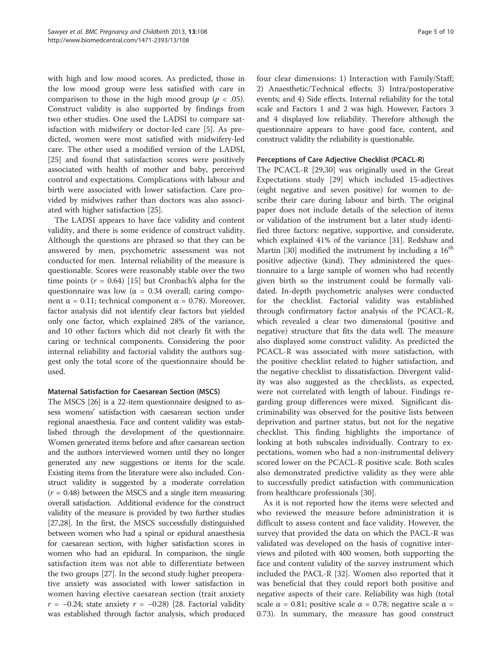with high and low mood scores. As predicted, those in the low mood group were less satisfied with care in comparison to those in the high mood group ( $p < .05$ ). Construct validity is also supported by findings from two other studies. One used the LADSI to compare satisfaction with midwifery or doctor-led care [[5\]](#page-8-0). As predicted, women were most satisfied with midwifery-led care. The other used a modified version of the LADSI, [[25\]](#page-8-0) and found that satisfaction scores were positively associated with health of mother and baby, perceived control and expectations. Complications with labour and birth were associated with lower satisfaction. Care provided by midwives rather than doctors was also associated with higher satisfaction [\[25](#page-8-0)].

The LADSI appears to have face validity and content validity, and there is some evidence of construct validity. Although the questions are phrased so that they can be answered by men, psychometric assessment was not conducted for men. Internal reliability of the measure is questionable. Scores were reasonably stable over the two time points  $(r = 0.64)$  [\[15](#page-8-0)] but Cronbach's alpha for the questionnaire was low ( $\alpha = 0.34$  overall; caring component α = 0.11; technical component α = 0.78). Moreover, factor analysis did not identify clear factors but yielded only one factor, which explained 28% of the variance, and 10 other factors which did not clearly fit with the caring or technical components. Considering the poor internal reliability and factorial validity the authors suggest only the total score of the questionnaire should be used.

## Maternal Satisfaction for Caesarean Section (MSCS)

The MSCS [\[26\]](#page-8-0) is a 22-item questionnaire designed to assess womens' satisfaction with caesarean section under regional anaesthesia. Face and content validity was established through the development of the questionnaire. Women generated items before and after caesarean section and the authors interviewed women until they no longer generated any new suggestions or items for the scale. Existing items from the literature were also included. Construct validity is suggested by a moderate correlation  $(r = 0.48)$  between the MSCS and a single item measuring overall satisfaction. Additional evidence for the construct validity of the measure is provided by two further studies [[27,28\]](#page-8-0). In the first, the MSCS successfully distinguished between women who had a spinal or epidural anaesthesia for caesarean section, with higher satisfaction scores in women who had an epidural. In comparison, the single satisfaction item was not able to differentiate between the two groups [\[27\]](#page-8-0). In the second study higher preoperative anxiety was associated with lower satisfaction in women having elective caesarean section (trait anxiety  $r = -0.24$ ; state anxiety  $r = -0.28$  $r = -0.28$ ) [28. Factorial validity was established through factor analysis, which produced

four clear dimensions: 1) Interaction with Family/Staff; 2) Anaesthetic/Technical effects; 3) Intra/postoperative events; and 4) Side effects. Internal reliability for the total scale and Factors 1 and 2 was high. However, Factors 3 and 4 displayed low reliability. Therefore although the questionnaire appears to have good face, content, and construct validity the reliability is questionable.

#### Perceptions of Care Adjective Checklist (PCACL-R)

The PCACL-R [\[29,30](#page-8-0)] was originally used in the Great Expectations study [\[29](#page-8-0)] which included 15-adjectives (eight negative and seven positive) for women to describe their care during labour and birth. The original paper does not include details of the selection of items or validation of the instrument but a later study identified three factors: negative, supportive, and considerate, which explained 41% of the variance [[31\]](#page-8-0). Redshaw and Martin [[30](#page-8-0)] modified the instrument by including a  $16<sup>th</sup>$ positive adjective (kind). They administered the questionnaire to a large sample of women who had recently given birth so the instrument could be formally validated. In-depth psychometric analyses were conducted for the checklist. Factorial validity was established through confirmatory factor analysis of the PCACL-R, which revealed a clear two dimensional (positive and negative) structure that fits the data well. The measure also displayed some construct validity. As predicted the PCACL-R was associated with more satisfaction, with the positive checklist related to higher satisfaction, and the negative checklist to dissatisfaction. Divergent validity was also suggested as the checklists, as expected, were not correlated with length of labour. Findings regarding group differences were mixed. Significant discriminability was observed for the positive lists between deprivation and partner status, but not for the negative checklist. This finding highlights the importance of looking at both subscales individually. Contrary to expectations, women who had a non-instrumental delivery scored lower on the PCACL-R positive scale. Both scales also demonstrated predictive validity as they were able to successfully predict satisfaction with communication from healthcare professionals [\[30](#page-8-0)].

As it is not reported how the items were selected and who reviewed the measure before administration it is difficult to assess content and face validity. However, the survey that provided the data on which the PACL-R was validated was developed on the basis of cognitive interviews and piloted with 400 women, both supporting the face and content validity of the survey instrument which included the PACL-R [\[32\]](#page-8-0). Women also reported that it was beneficial that they could report both positive and negative aspects of their care. Reliability was high (total scale  $\alpha$  = 0.81; positive scale  $\alpha$  = 0.78; negative scale  $\alpha$  = 0.73). In summary, the measure has good construct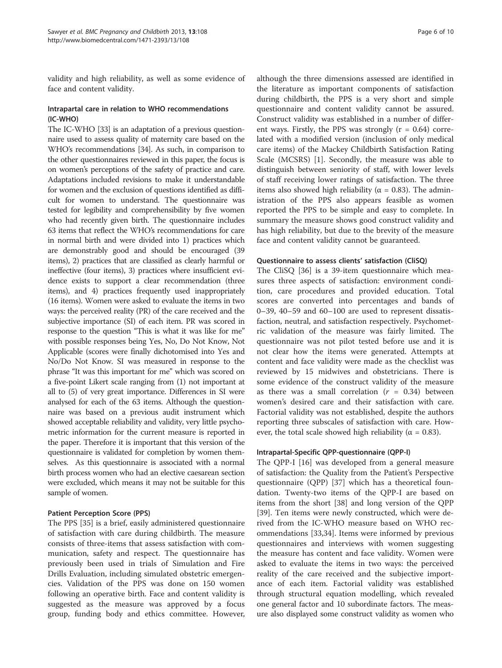validity and high reliability, as well as some evidence of face and content validity.

## Intrapartal care in relation to WHO recommendations (IC-WHO)

The IC-WHO [[33](#page-8-0)] is an adaptation of a previous questionnaire used to assess quality of maternity care based on the WHO's recommendations [[34](#page-8-0)]. As such, in comparison to the other questionnaires reviewed in this paper, the focus is on women's perceptions of the safety of practice and care. Adaptations included revisions to make it understandable for women and the exclusion of questions identified as difficult for women to understand. The questionnaire was tested for legibility and comprehensibility by five women who had recently given birth. The questionnaire includes 63 items that reflect the WHO's recommendations for care in normal birth and were divided into 1) practices which are demonstrably good and should be encouraged (39 items), 2) practices that are classified as clearly harmful or ineffective (four items), 3) practices where insufficient evidence exists to support a clear recommendation (three items), and 4) practices frequently used inappropriately (16 items). Women were asked to evaluate the items in two ways: the perceived reality (PR) of the care received and the subjective importance (SI) of each item. PR was scored in response to the question "This is what it was like for me" with possible responses being Yes, No, Do Not Know, Not Applicable (scores were finally dichotomised into Yes and No/Do Not Know. SI was measured in response to the phrase "It was this important for me" which was scored on a five-point Likert scale ranging from (1) not important at all to (5) of very great importance. Differences in SI were analysed for each of the 63 items. Although the questionnaire was based on a previous audit instrument which showed acceptable reliability and validity, very little psychometric information for the current measure is reported in the paper. Therefore it is important that this version of the questionnaire is validated for completion by women themselves. As this questionnaire is associated with a normal birth process women who had an elective caesarean section were excluded, which means it may not be suitable for this sample of women.

## Patient Perception Score (PPS)

The PPS [[35\]](#page-8-0) is a brief, easily administered questionnaire of satisfaction with care during childbirth. The measure consists of three-items that assess satisfaction with communication, safety and respect. The questionnaire has previously been used in trials of Simulation and Fire Drills Evaluation, including simulated obstetric emergencies. Validation of the PPS was done on 150 women following an operative birth. Face and content validity is suggested as the measure was approved by a focus group, funding body and ethics committee. However,

although the three dimensions assessed are identified in the literature as important components of satisfaction during childbirth, the PPS is a very short and simple questionnaire and content validity cannot be assured. Construct validity was established in a number of different ways. Firstly, the PPS was strongly  $(r = 0.64)$  correlated with a modified version (inclusion of only medical care items) of the Mackey Childbirth Satisfaction Rating Scale (MCSRS) [[1\]](#page-8-0). Secondly, the measure was able to distinguish between seniority of staff, with lower levels of staff receiving lower ratings of satisfaction. The three items also showed high reliability ( $α = 0.83$ ). The administration of the PPS also appears feasible as women reported the PPS to be simple and easy to complete. In summary the measure shows good construct validity and has high reliability, but due to the brevity of the measure face and content validity cannot be guaranteed.

## Questionnaire to assess clients' satisfaction (CliSQ)

The CliSQ [\[36\]](#page-8-0) is a 39-item questionnaire which measures three aspects of satisfaction: environment condition, care procedures and provided education. Total scores are converted into percentages and bands of 0–39, 40–59 and 60–100 are used to represent dissatisfaction, neutral, and satisfaction respectively. Psychometric validation of the measure was fairly limited. The questionnaire was not pilot tested before use and it is not clear how the items were generated. Attempts at content and face validity were made as the checklist was reviewed by 15 midwives and obstetricians. There is some evidence of the construct validity of the measure as there was a small correlation  $(r = 0.34)$  between women's desired care and their satisfaction with care. Factorial validity was not established, despite the authors reporting three subscales of satisfaction with care. However, the total scale showed high reliability ( $\alpha = 0.83$ ).

## Intrapartal-Specific QPP-questionnaire (QPP-I)

The QPP-I [\[16](#page-8-0)] was developed from a general measure of satisfaction: the Quality from the Patient's Perspective questionnaire (QPP) [[37\]](#page-8-0) which has a theoretical foundation. Twenty-two items of the QPP-I are based on items from the short [[38\]](#page-8-0) and long version of the QPP [[39\]](#page-8-0). Ten items were newly constructed, which were derived from the IC-WHO measure based on WHO recommendations [\[33,34\]](#page-8-0). Items were informed by previous questionnaires and interviews with women suggesting the measure has content and face validity. Women were asked to evaluate the items in two ways: the perceived reality of the care received and the subjective importance of each item. Factorial validity was established through structural equation modelling, which revealed one general factor and 10 subordinate factors. The measure also displayed some construct validity as women who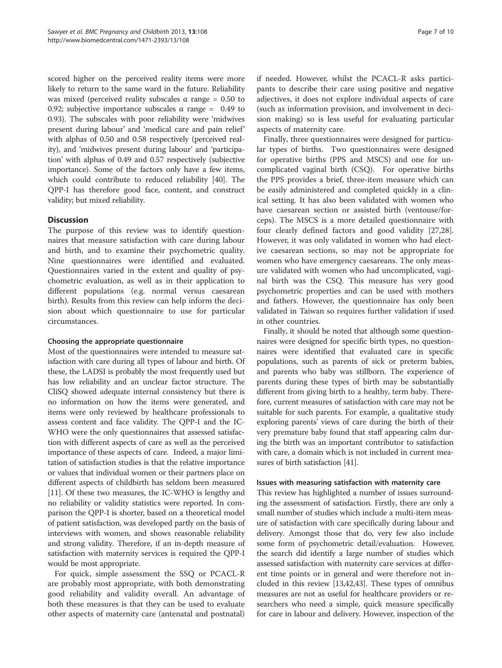scored higher on the perceived reality items were more likely to return to the same ward in the future. Reliability was mixed (perceived reality subscales  $\alpha$  range = 0.50 to 0.92; subjective importance subscales  $\alpha$  range = 0.49 to 0.93). The subscales with poor reliability were 'midwives present during labour' and 'medical care and pain relief' with alphas of 0.50 and 0.58 respectively (perceived reality), and 'midwives present during labour' and 'participation' with alphas of 0.49 and 0.57 respectively (subjective importance). Some of the factors only have a few items, which could contribute to reduced reliability [[40](#page-8-0)]. The QPP-I has therefore good face, content, and construct validity; but mixed reliability.

## **Discussion**

The purpose of this review was to identify questionnaires that measure satisfaction with care during labour and birth, and to examine their psychometric quality. Nine questionnaires were identified and evaluated. Questionnaires varied in the extent and quality of psychometric evaluation, as well as in their application to different populations (e.g. normal versus caesarean birth). Results from this review can help inform the decision about which questionnaire to use for particular circumstances.

## Choosing the appropriate questionnaire

Most of the questionnaires were intended to measure satisfaction with care during all types of labour and birth. Of these, the LADSI is probably the most frequently used but has low reliability and an unclear factor structure. The CliSQ showed adequate internal consistency but there is no information on how the items were generated, and items were only reviewed by healthcare professionals to assess content and face validity. The QPP-I and the IC-WHO were the only questionnaires that assessed satisfaction with different aspects of care as well as the perceived importance of these aspects of care. Indeed, a major limitation of satisfaction studies is that the relative importance or values that individual women or their partners place on different aspects of childbirth has seldom been measured [[11](#page-8-0)]. Of these two measures, the IC-WHO is lengthy and no reliability or validity statistics were reported. In comparison the QPP-I is shorter, based on a theoretical model of patient satisfaction, was developed partly on the basis of interviews with women, and shows reasonable reliability and strong validity. Therefore, if an in-depth measure of satisfaction with maternity services is required the QPP-I would be most appropriate.

For quick, simple assessment the SSQ or PCACL-R are probably most appropriate, with both demonstrating good reliability and validity overall. An advantage of both these measures is that they can be used to evaluate other aspects of maternity care (antenatal and postnatal)

if needed. However, whilst the PCACL-R asks participants to describe their care using positive and negative adjectives, it does not explore individual aspects of care (such as information provision, and involvement in decision making) so is less useful for evaluating particular aspects of maternity care.

Finally, three questionnaires were designed for particular types of births. Two questionnaires were designed for operative births (PPS and MSCS) and one for uncomplicated vaginal birth (CSQ). For operative births the PPS provides a brief, three-item measure which can be easily administered and completed quickly in a clinical setting. It has also been validated with women who have caesarean section or assisted birth (ventouse/forceps). The MSCS is a more detailed questionnaire with four clearly defined factors and good validity [\[27,28](#page-8-0)]. However, it was only validated in women who had elective caesarean sections, so may not be appropriate for women who have emergency caesareans. The only measure validated with women who had uncomplicated, vaginal birth was the CSQ. This measure has very good psychometric properties and can be used with mothers and fathers. However, the questionnaire has only been validated in Taiwan so requires further validation if used in other countries.

Finally, it should be noted that although some questionnaires were designed for specific birth types, no questionnaires were identified that evaluated care in specific populations, such as parents of sick or preterm babies, and parents who baby was stillborn. The experience of parents during these types of birth may be substantially different from giving birth to a healthy, term baby. Therefore, current measures of satisfaction with care may not be suitable for such parents. For example, a qualitative study exploring parents' views of care during the birth of their very premature baby found that staff appearing calm during the birth was an important contributor to satisfaction with care, a domain which is not included in current measures of birth satisfaction [[41](#page-8-0)].

#### Issues with measuring satisfaction with maternity care

This review has highlighted a number of issues surrounding the assessment of satisfaction. Firstly, there are only a small number of studies which include a multi-item measure of satisfaction with care specifically during labour and delivery. Amongst those that do, very few also include some form of psychometric detail/evaluation. However, the search did identify a large number of studies which assessed satisfaction with maternity care services at different time points or in general and were therefore not included in this review [\[13,42,43\]](#page-8-0). These types of omnibus measures are not as useful for healthcare providers or researchers who need a simple, quick measure specifically for care in labour and delivery. However, inspection of the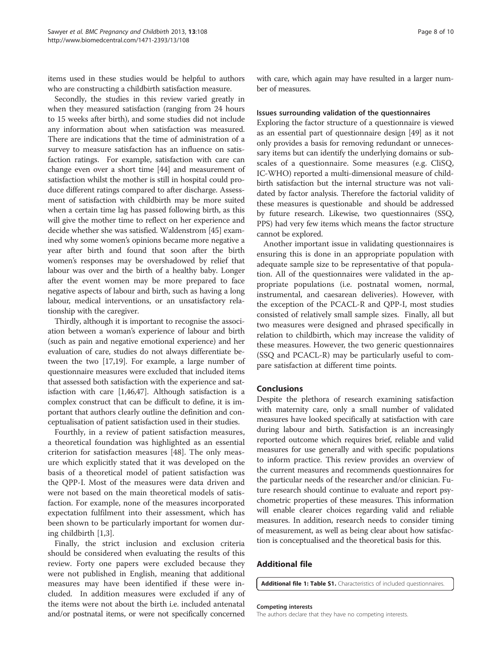<span id="page-7-0"></span>items used in these studies would be helpful to authors who are constructing a childbirth satisfaction measure.

Secondly, the studies in this review varied greatly in when they measured satisfaction (ranging from 24 hours to 15 weeks after birth), and some studies did not include any information about when satisfaction was measured. There are indications that the time of administration of a survey to measure satisfaction has an influence on satisfaction ratings. For example, satisfaction with care can change even over a short time [\[44](#page-8-0)] and measurement of satisfaction whilst the mother is still in hospital could produce different ratings compared to after discharge. Assessment of satisfaction with childbirth may be more suited when a certain time lag has passed following birth, as this will give the mother time to reflect on her experience and decide whether she was satisfied. Waldenstrom [\[45\]](#page-9-0) examined why some women's opinions became more negative a year after birth and found that soon after the birth women's responses may be overshadowed by relief that labour was over and the birth of a healthy baby. Longer after the event women may be more prepared to face negative aspects of labour and birth, such as having a long labour, medical interventions, or an unsatisfactory relationship with the caregiver.

Thirdly, although it is important to recognise the association between a woman's experience of labour and birth (such as pain and negative emotional experience) and her evaluation of care, studies do not always differentiate between the two [[17,19](#page-8-0)]. For example, a large number of questionnaire measures were excluded that included items that assessed both satisfaction with the experience and satisfaction with care [\[1](#page-8-0)[,46,47](#page-9-0)]. Although satisfaction is a complex construct that can be difficult to define, it is important that authors clearly outline the definition and conceptualisation of patient satisfaction used in their studies.

Fourthly, in a review of patient satisfaction measures, a theoretical foundation was highlighted as an essential criterion for satisfaction measures [[48](#page-9-0)]. The only measure which explicitly stated that it was developed on the basis of a theoretical model of patient satisfaction was the QPP-I. Most of the measures were data driven and were not based on the main theoretical models of satisfaction. For example, none of the measures incorporated expectation fulfilment into their assessment, which has been shown to be particularly important for women during childbirth [\[1,3](#page-8-0)].

Finally, the strict inclusion and exclusion criteria should be considered when evaluating the results of this review. Forty one papers were excluded because they were not published in English, meaning that additional measures may have been identified if these were included. In addition measures were excluded if any of the items were not about the birth i.e. included antenatal and/or postnatal items, or were not specifically concerned

with care, which again may have resulted in a larger number of measures.

#### Issues surrounding validation of the questionnaires

Exploring the factor structure of a questionnaire is viewed as an essential part of questionnaire design [[49](#page-9-0)] as it not only provides a basis for removing redundant or unnecessary items but can identify the underlying domains or subscales of a questionnaire. Some measures (e.g. CliSQ, IC-WHO) reported a multi-dimensional measure of childbirth satisfaction but the internal structure was not validated by factor analysis. Therefore the factorial validity of these measures is questionable and should be addressed by future research. Likewise, two questionnaires (SSQ, PPS) had very few items which means the factor structure cannot be explored.

Another important issue in validating questionnaires is ensuring this is done in an appropriate population with adequate sample size to be representative of that population. All of the questionnaires were validated in the appropriate populations (i.e. postnatal women, normal, instrumental, and caesarean deliveries). However, with the exception of the PCACL-R and QPP-I, most studies consisted of relatively small sample sizes. Finally, all but two measures were designed and phrased specifically in relation to childbirth, which may increase the validity of these measures. However, the two generic questionnaires (SSQ and PCACL-R) may be particularly useful to compare satisfaction at different time points.

## Conclusions

Despite the plethora of research examining satisfaction with maternity care, only a small number of validated measures have looked specifically at satisfaction with care during labour and birth. Satisfaction is an increasingly reported outcome which requires brief, reliable and valid measures for use generally and with specific populations to inform practice. This review provides an overview of the current measures and recommends questionnaires for the particular needs of the researcher and/or clinician. Future research should continue to evaluate and report psychometric properties of these measures. This information will enable clearer choices regarding valid and reliable measures. In addition, research needs to consider timing of measurement, as well as being clear about how satisfaction is conceptualised and the theoretical basis for this.

#### Additional file

[Additional file 1: Table S1.](http://www.biomedcentral.com/content/supplementary/1471-2393-13-108-S1.docx) Characteristics of included questionnaires.

#### Competing interests

The authors declare that they have no competing interests.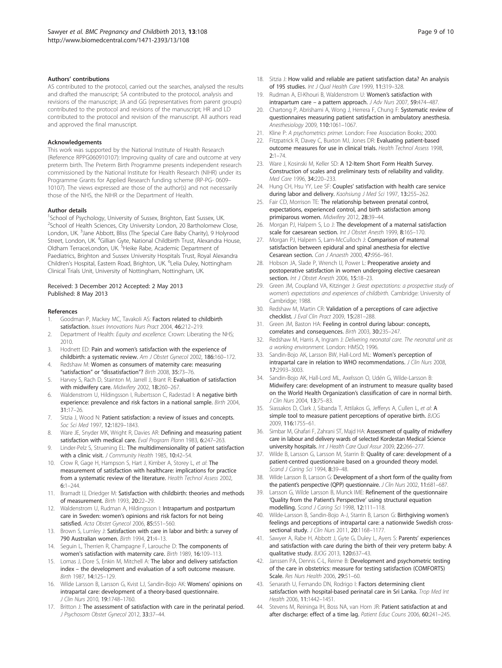#### <span id="page-8-0"></span>Authors' contributions

AS contributed to the protocol, carried out the searches, analysed the results and drafted the manuscript; SA contributed to the protocol, analysis and revisions of the manuscript; JA and GG (representatives from parent groups) contributed to the protocol and revisions of the manuscript; HR and LD contributed to the protocol and revision of the manuscript. All authors read and approved the final manuscript.

#### Acknowledgements

This work was supported by the National Institute of Health Research (Reference RPPG060910107): Improving quality of care and outcome at very preterm birth. The Preterm Birth Programme presents independent research commissioned by the National Institute for Health Research (NIHR) under its Programme Grants for Applied Research funding scheme (RP-PG- 0609– 10107). The views expressed are those of the author(s) and not necessarily those of the NHS, the NIHR or the Department of Health.

#### Author details

<sup>1</sup>School of Psychology, University of Sussex, Brighton, East Sussex, UK. <sup>2</sup>School of Health Sciences, City University London, 20 Bartholomew Close, London, UK. <sup>3</sup>Jane Abbott, Bliss (The Special Care Baby Charity), 9 Holyrood Street, London, UK. <sup>4</sup>Gillian Gyte, National Childbirth Trust, Alexandra House, Oldham TerraceLondon, UK. <sup>5</sup>Heike Rabe, Academic Department of Paediatrics, Brighton and Sussex University Hospitals Trust, Royal Alexandra Children's Hospital, Eastern Road, Brighton, UK. <sup>6</sup>Lelia Duley, Nottingham Clinical Trials Unit, University of Nottingham, Nottingham, UK.

#### Received: 3 December 2012 Accepted: 2 May 2013 Published: 8 May 2013

#### References

- Goodman P, Mackey MC, Tavakoli AS: Factors related to childbirth satisfaction. Issues Innovations Nurs Pract 2004, 46:212-219.
- 2. Department of Health: Equity and excellence. Crown: Liberating the NHS; 2010.
- 3. Hodnett ED: Pain and women's satisfaction with the experience of childbirth: a systematic review. Am J Obstet Gynecol 2002, 186:160–172.
- 4. Redshaw M: Women as consumers of maternity care: measuring "satisfaction" or "dissatisfaction"? Birth 2008, 35:73–76.
- 5. Harvey S, Rach D, Stainton M, Jarrell J, Brant R: Evaluation of satisfaction with midwifery care. Midwifery 2002, 18:260–267.
- 6. Waldenstrom U, Hildingsson I, Rubertsson C, Radestad I: A negative birth experience: prevalence and risk factors in a national sample. Birth 2004, 31:17–26.
- 7. Sitzia J, Wood N: Patient satisfaction: a review of issues and concepts. Soc Sci Med 1997, 12:1829–1843.
- 8. Ware JE, Snyder MK, Wright R, Davies AR: Defining and measuring patient satisfaction with medical care. Eval Program Plann 1983, 6:247-263
- Linder-Pelz S, Struening EL: The multidimensionality of patient satisfaction with a clinic visit. J Community Health 1985, 10:42-54.
- 10. Crow R, Gage H, Hampson S, Hart J, Kimber A, Storey L, et al: The measurement of satisfaction with healthcare: implications for practice from a systematic review of the literature. Health Technol Assess 2002, 6:1–244.
- 11. Bramadt IJ, Driedger M: Satisfaction with childbirth: theories and methods of measurement. Birth 1993, 20:22–29.
- 12. Waldenstrom U, Rudman A, Hildingsson I: Intrapartum and postpartum care in Sweden: women's opinions and risk factors for not being satisfied. Acta Obstet Gynecol 2006, 85:551-560.
- 13. Brown S, Lumley J: Satisfaction with care in labor and birth: a survey of 790 Australian women. Birth 1994, 21:4–13.
- 14. Seguin L, Therrien R, Champagne F, Larouche D: The components of women's satisfaction with maternity care. Birth 1989, 16:109–113.
- 15. Lomas J, Dore S, Enkin M, Mitchell A: The labor and delivery satisfaction index – the development and evaluation of a soft outcome measure. Birth 1987, 14:125–129.
- 16. Wilde Larsson B, Larsson G, Kvist LJ, Sandin-Bojo AK: Womens' opinions on intrapartal care: development of a theory-based questionnaire. J Clin Nurs 2010, 19:1748–1760.
- 17. Britton J: The assessment of satisfaction with care in the perinatal period. J Psychosom Obstet Gynecol 2012, 33:37–44.
- 18. Sitzia J: How valid and reliable are patient satisfaction data? An analysis of 195 studies. Int J Qual Health Care 1999, 11:319–328.
- 19. Rudman A, El-Khouri B, Waldenstrom U: Women's satisfaction with intrapartum care – a pattern approach. J Adv Nurs 2007, 59:474–487.
- 20. Chartong P, Abrishami A, Wong J, Herrera F, Chung F: Systematic review of questionnaires measuring patient satisfaction in ambulatory anesthesia. Anesthesiology 2009, 110:1061–1067.
- 21. Kline P: A psychometrics primer. London: Free Association Books; 2000.
- 22. Fitzpatrick R, Davey C, Buxton MJ, Jones DR: Evaluating patient-based outcome measures for use in clinical trials. Health Technol Assess 1998,  $2:1-74$
- 23. Ware J, Kosinski M, Keller SD: A 12-Item Short Form Health Survey. Construction of scales and preliminary tests of reliability and validity. Med Care 1996, 34:220–233.
- 24. Hung CH, Hsu YY, Lee SF: Couples' satisfaction with health care service during labor and delivery. Kaohsiung J Med Sci 1997, 13:255-262.
- 25. Fair CD, Morrison TE: The relationship between prenatal control, expectations, experienced control, and birth satisfaction among primiparous women. Midwifery 2012, 28:39–44.
- 26. Morgan PJ, Halpern S, Lo J: The development of a maternal satisfaction scale for caesarean section. Int J Obstet Anesth 1999, 8:165-170.
- 27. Morgan PJ, Halpern S, Lam-McCulloch J: Comparison of maternal satisfaction between epidural and spinal anesthesia for elective Cesarean section. Can J Anaesth 2000, 47:956–961.
- 28. Hobson JA, Slade P, Wrench IJ, Power L: Preoperative anxiety and postoperative satisfaction in women undergoing elective caesarean section. Int J Obstet Anesth 2006, 15:18-23.
- 29. Green JM, Coupland VA, Kitzinger J: Great expectations: a prospective study of women's expectations and experiences of childbirth. Cambridge: University of Cambridge: 1988
- 30. Redshaw M, Martin CR: Validation of a perceptions of care adjective checklist. J Eval Clin Pract 2009, 15:281–288.
- 31. Green JM, Baston HA: Feeling in control during labour: concepts, correlates and consequences. Birth 2003, 30:235–247.
- 32. Redshaw M, Harris A, Ingram J: Delivering neonatal care. The neonatal unit as a working environment. London: HMSO; 1996.
- 33. Sandin-Bojo AK, Larsson BW, Hall-Lord ML: Women's perception of intrapartal care in relation to WHO recommendations. J Clin Nurs 2008, 17:2993–3003.
- 34. Sandin-Bojo AK, Hall-Lord ML, Axelsson O, Udén G, Wilde-Larsson B: Midwifery care: development of an instrument to measure quality based on the World Health Organization's classification of care in normal birth. J Clin Nurs 2004, 13:75–83.
- 35. Siassakos D, Clark J, Sibanda T, Attilakos G, Jefferys A, Cullen L, et al: A simple tool to measure patient perceptions of operative birth. BJOG 2009, 116:1755–61.
- Simbar M, Ghafari F, Zahrani ST, Majd HA: Assessment of quality of midwifery care in labour and delivery wards of selected Kordestan Medical Science university hospitals. Int J Health Care Qual Assur 2009, 22:266-277
- 37. Wilde B, Larsson G, Larsson M, Starrin B: Quality of care: development of a patient-centred questionnaire based on a grounded theory model. Scand J Caring Sci 1994, 8:39–48.
- 38. Wilde Larsson B, Larsson G: Development of a short form of the quality from the patient's perspective (QPP) questionnaire. J Clin Nurs 2002, 11:681-687.
- 39. Larsson G, Wilde Larsson B, Munck IME: Refinement of the questionnaire 'Quality from the Patient's Perspective' using structural equation modelling. Scand J Caring Sci 1998, 12:111–118.
- 40. Wilde-Larsson B, Sandin-Bojo A-J, Starrin B, Larson G: Birthgiving women's feelings and perceptions of intrapartal care: a nationwide Swedish crosssectional study. J Clin Nurs 2011, 20:1168-1177.
- 41. Sawyer A, Rabe H, Abbott J, Gyte G, Duley L, Ayers S: Parents' experiences and satisfaction with care during the birth of their very preterm baby: A qualitative study. BJOG 2013, 120:637–43.
- 42. Janssen PA, Dennis C-L, Reime B: Development and psychometric testing of the care in obstetrics: measure for testing satisfaction (COMFORTS) Scale. Res Nurs Health 2006, 29:51–60.
- 43. Senarath U, Fernando DN, Rodrigo I: Factors determining client satisfaction with hospital-based perinatal care in Sri Lanka. Trop Med Int Health 2006, 11:1442–1451.
- 44. Stevens M, Reininga IH, Boss NA, van Horn JR: Patient satisfaction at and after discharge: effect of a time lag. Patient Educ Couns 2006, 60:241–245.